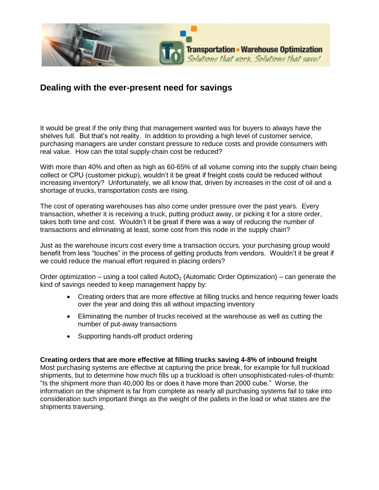

## **Dealing with the ever-present need for savings**

It would be great if the only thing that management wanted was for buyers to always have the shelves full. But that's not reality. In addition to providing a high level of customer service, purchasing managers are under constant pressure to reduce costs and provide consumers with real value. How can the total supply-chain cost be reduced?

With more than 40% and often as high as 60-65% of all volume coming into the supply chain being collect or CPU (customer pickup), wouldn't it be great if freight costs could be reduced without increasing inventory? Unfortunately, we all know that, driven by increases in the cost of oil and a shortage of trucks, transportation costs are rising.

The cost of operating warehouses has also come under pressure over the past years. Every transaction, whether it is receiving a truck, putting product away, or picking it for a store order, takes both time and cost. Wouldn't it be great if there was a way of reducing the number of transactions and eliminating at least, some cost from this node in the supply chain?

Just as the warehouse incurs cost every time a transaction occurs, your purchasing group would benefit from less "touches" in the process of getting products from vendors. Wouldn't it be great if we could reduce the manual effort required in placing orders?

Order optimization – using a tool called AutoO<sub>2</sub> (Automatic Order Optimization) – can generate the kind of savings needed to keep management happy by:

- Creating orders that are more effective at filling trucks and hence requiring fewer loads over the year and doing this all without impacting inventory
- Eliminating the number of trucks received at the warehouse as well as cutting the number of put-away transactions
- Supporting hands-off product ordering

**Creating orders that are more effective at filling trucks saving 4-8% of inbound freight**

Most purchasing systems are effective at capturing the price break, for example for full truckload shipments, but to determine how much fills up a truckload is often unsophisticated-rules-of-thumb: "Is the shipment more than 40,000 lbs or does it have more than 2000 cube." Worse, the information on the shipment is far from complete as nearly all purchasing systems fail to take into consideration such important things as the weight of the pallets in the load or what states are the shipments traversing.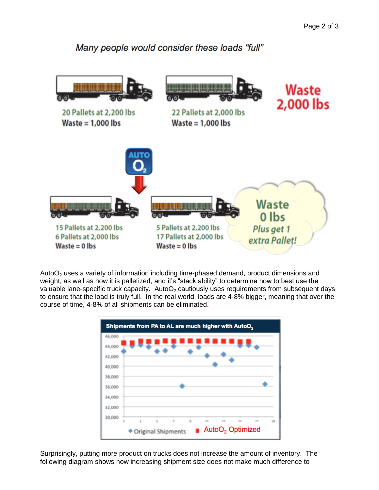Many people would consider these loads "full"



Auto $O<sub>2</sub>$  uses a variety of information including time-phased demand, product dimensions and weight, as well as how it is palletized, and it's "stack ability" to determine how to best use the valuable lane-specific truck capacity. AutoO<sub>2</sub> cautiously uses requirements from subsequent days to ensure that the load is truly full. In the real world, loads are 4-8% bigger, meaning that over the course of time, 4-8% of all shipments can be eliminated.



Surprisingly, putting more product on trucks does not increase the amount of inventory. The following diagram shows how increasing shipment size does not make much difference to